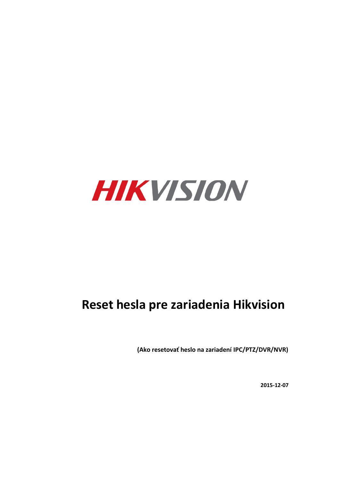

# **Reset hesla pre zariadenia Hikvision**

(Ako resetovať heslo na zariadení IPC/PTZ/DVR/NVR)

**2015-12-07**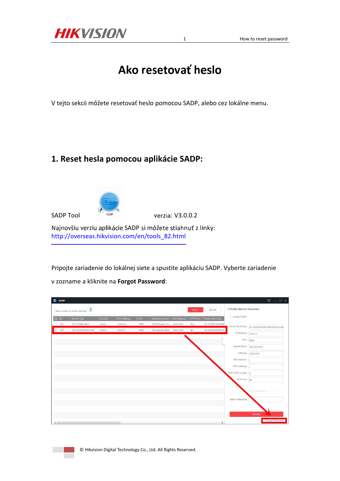

1 How to reset password

## **Ako resetovať heslo**

V tejto sekcii môžete resetovať heslo pomocou SADP, alebo cez lokálne menu.

## **1. Reset hesla pomocou aplikácie SADP:**



SADP Tool SADP SADP Verzia: V3.0.0.2

Najnovšiu verziu aplikácie SADP si môžete stiahnuť z linky: [http://overseas.hikvision.com/en/tools\\_82.html](http://overseas.hikvision.com/en/tools_82.html) 

Pripojte zariadenie do lokálnej siete a spustite aplikáciu SADP. Vyberte zariadenie

v zozname a kliknite na Forgot Password:

| <b>O</b> SADP        |                                 |                                             |          |              |      |                                                                 |        |                   |                                    | $  \sqrt{2}$ $\times$<br>$\odot$               |
|----------------------|---------------------------------|---------------------------------------------|----------|--------------|------|-----------------------------------------------------------------|--------|-------------------|------------------------------------|------------------------------------------------|
|                      |                                 | Total number of online devices: $\boxed{2}$ |          |              |      |                                                                 | Export | Refresh           | <b>I</b> Modify Network Parameters |                                                |
| $\blacksquare$   ID  |                                 | -   Device Type                             | Security | IPv4 Address | Port | Software Version   IPv4 Gateway   HTTP Port   Device Serial No. |        |                   | Enable DHCP                        |                                                |
| $\Box$ 001           |                                 | DS-7116NI-SN/P                              | Active   | 10.9.5.11    | 8000 | V3.0.17build 151 10.9.5.254                                     | N/A    | DS-7116NI-SN/P082 |                                    | Device Serial No.: DS-2CD2542FWD-IWS20150321BE |
|                      | $\overline{\triangleright}$ 002 | DS-2CD2542FWD-IWS                           | Active   | 10.9.5.2     | 8000 | V5.3.3build 1508 10.9.5.254                                     | 80     | DS-2CD2542FWD-IV  | IP Address: 10.9.5.2               |                                                |
|                      |                                 |                                             |          |              |      |                                                                 |        |                   |                                    | Port: 8000                                     |
|                      |                                 |                                             |          |              |      |                                                                 |        |                   | Subnet Mask: 255.255.255.0         |                                                |
|                      |                                 |                                             |          |              |      |                                                                 |        |                   |                                    |                                                |
|                      |                                 |                                             |          |              |      |                                                                 |        |                   |                                    | Gateway: 10.9.5.254                            |
|                      |                                 |                                             |          |              |      |                                                                 |        |                   | IPv6 Address:                      |                                                |
|                      |                                 |                                             |          |              |      |                                                                 |        |                   | IPv6 Gateway:                      |                                                |
|                      |                                 |                                             |          |              |      |                                                                 |        |                   | IPv6 Prefix Length: 0              |                                                |
|                      |                                 |                                             |          |              |      |                                                                 |        |                   | HTTP Port: 80                      |                                                |
|                      |                                 |                                             |          |              |      |                                                                 |        |                   |                                    |                                                |
|                      |                                 |                                             |          |              |      |                                                                 |        |                   |                                    | Security Verification                          |
|                      |                                 |                                             |          |              |      |                                                                 |        |                   | Admin Password:                    |                                                |
|                      |                                 |                                             |          |              |      |                                                                 |        |                   |                                    |                                                |
|                      |                                 |                                             |          |              |      |                                                                 |        |                   |                                    | Modify                                         |
| $\blacktriangleleft$ |                                 |                                             |          |              |      |                                                                 |        |                   |                                    | <b>Forgot Password</b>                         |

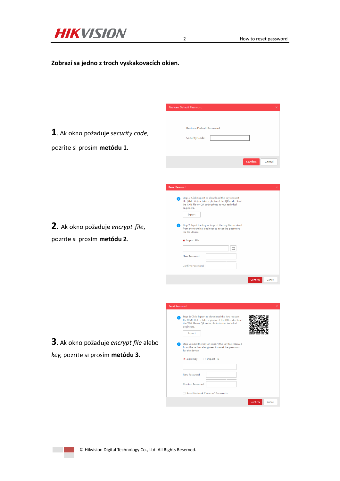

#### **Zobrazí sa jedno z troch vyskakovacích okien.**

**1**. Ak okno požaduje security code, pozrite si prosím metódu 1.

| Restore Default Password |         |        |
|--------------------------|---------|--------|
| Security Code:           |         |        |
|                          |         |        |
|                          |         |        |
|                          | Confirm | Cancel |
|                          |         |        |
|                          |         |        |

2. Ak okno požaduje encrypt file, p&/012. <sup>31</sup> (0&345 **metódu 2**.

| <b>Reset Password</b> |                                                                                                                                                                                    |  |
|-----------------------|------------------------------------------------------------------------------------------------------------------------------------------------------------------------------------|--|
|                       | Step 1: Click Export to download the key request<br>file (XML file) or take a photo of the QR code. Send<br>the XML file or QR code photo to our technical<br>engineers.<br>Export |  |
|                       | Step 2: Input the key or import the key file received<br>from the technical engineer to reset the password<br>for the device.<br><b>O</b> Import File                              |  |
|                       | New Password:<br>Confirm Password:                                                                                                                                                 |  |
|                       | Confirm<br>Cancel                                                                                                                                                                  |  |
|                       |                                                                                                                                                                                    |  |
|                       |                                                                                                                                                                                    |  |

**3**. Ak okno požaduje encrypt file alebo  $key$ , pozrite si prosím metódu 3.

| <b>Reset Password</b> |                                                                                                                                                                          | ×                 |  |  |  |
|-----------------------|--------------------------------------------------------------------------------------------------------------------------------------------------------------------------|-------------------|--|--|--|
| engineers.<br>Export  | Step 1: Click Export to download the key request<br>file (XML file) or take a photo of the QR code. Send<br>the XML file or QR code photo to our technical               |                   |  |  |  |
|                       | Step 2: Input the key or import the key file received<br>from the technical engineer to reset the password<br>for the device.<br>$\bullet$ Input Key $\circ$ Import File |                   |  |  |  |
| New Password:         |                                                                                                                                                                          |                   |  |  |  |
| Confirm Password:     | <b>Reset Network Cameras' Passwords</b>                                                                                                                                  |                   |  |  |  |
|                       |                                                                                                                                                                          | Confirm<br>Cancel |  |  |  |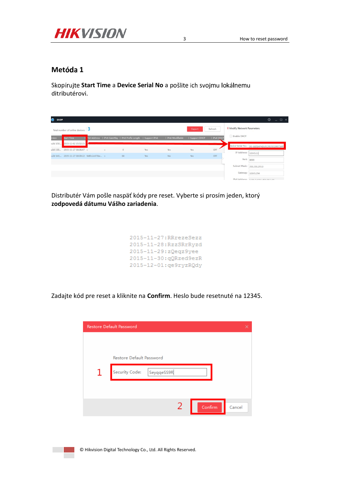

#### Metóda 1

Skopírujte Start Time a Device Serial No a pošlite ich svojmu lokálnemu ditributérovi.

| ◓<br><b>SADP</b> |                                                                                |  |               |                                                               |                          |                  | $\odot$<br>$ \Box$ $\times$        |            |                            |                                                |
|------------------|--------------------------------------------------------------------------------|--|---------------|---------------------------------------------------------------|--------------------------|------------------|------------------------------------|------------|----------------------------|------------------------------------------------|
|                  | Refresh<br>Export<br>Total number of online devices:                           |  |               |                                                               |                          |                  | <b>I</b> Modify Network Parameters |            |                            |                                                |
| rsion            | Start Time                                                                     |  |               | V6 Address   IPv6 GateWay   IPv6 Prefix Length   Support IPv6 |                          | IPv6 Modifiable  | Support DHCP                       | IPv4 DHCP  | Enable DHCP                |                                                |
| juild 150        | 2015-12-02 15:52:15                                                            |  |               |                                                               |                          |                  |                                    |            |                            | Device Serial No.: DS-6601HFHI/L0120151120CCWR |
|                  | uild 150 2015-11-27 10:36:47 =<br>uild 141 2015-11-27 10:30:22 fe80::2a57:be : |  | $\frac{1}{2}$ | $^{\circ}$<br>64                                              | <b>Yes</b><br><b>Yes</b> | <b>Yes</b><br>No | Yes<br>Yes                         | OFF<br>OFF | IP Address: 10.9.5.11      |                                                |
|                  |                                                                                |  |               |                                                               |                          |                  |                                    |            | Port:                      | 8000                                           |
|                  |                                                                                |  |               |                                                               |                          |                  |                                    |            | Subnet Mask: 255.255.255.0 |                                                |
|                  |                                                                                |  |               |                                                               |                          |                  |                                    |            |                            | Gateway: 10.9.5.254                            |
|                  |                                                                                |  |               |                                                               |                          |                  |                                    |            |                            | IPv6 Address: E.on.n.57.1.466.061.41           |

Distributér Vám pošle naspäť kódy pre reset. Vyberte si prosím jeden, ktorý zodpovedá dátumu Vášho zariadenia.

```
2015-11-27:RRrezeSezz
2015-11-28:RzzSRrRyzd
2015-11-29:zQeqz9yee
2015-11-30:gQRzed9ezR
2015-12-01: qe9ryzRQdy
```
Zadajte kód pre reset a kliknite na Confirm. Heslo bude resetnuté na 12345.

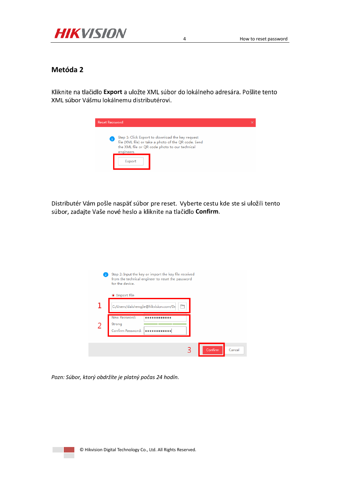

#### Metóda 2

Kliknite na tlačidlo Export a uložte XML súbor do lokálneho adresára. Pošlite tento XML súbor Vášmu lokálnemu distributérovi.



 $\overline{4}$ 

Distributér Vám pošle naspäť súbor pre reset. Vyberte cestu kde ste si uložili tento súbor, zadajte Vaše nové heslo a kliknite na tlačidlo Confirm.



Pozn: Súbor, ktorý obdržíte je platný počas 24 hodín.

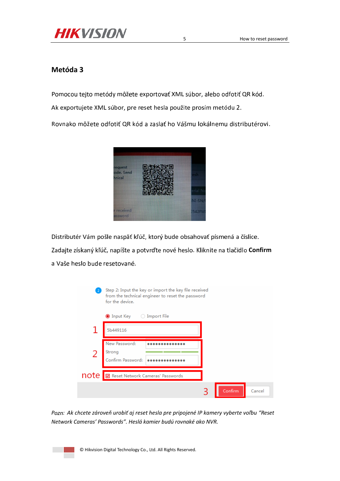

#### **Metóda 3**

Pomocou tejto metódy môžete exportovať XML súbor, alebo odfotiť QR kód.

Ak exportujete XML súbor, pre reset hesla použite prosím metódu 2.

Rovnako môžete odfotiť QR kód a zaslať ho Vášmu lokálnemu distributérovi.



Distributér Vám pošle naspäť kľúč, ktorý bude obsahovať písmená a číslice.

Zadajte získaný kľúč, napíšte a potvrďte nové heslo. Kliknite na tlačidlo **Confirm** a Vaše heslo bude resetované.

|      | Step 2: Input the key or import the key file received<br>from the technical engineer to reset the password<br>for the device. |  |         |        |  |
|------|-------------------------------------------------------------------------------------------------------------------------------|--|---------|--------|--|
|      | $\bullet$ Input Key $\circ$ Import File                                                                                       |  |         |        |  |
|      | 5b449116                                                                                                                      |  |         |        |  |
| 2    | New Password:<br>Strong<br>Confirm Password:                                                                                  |  |         |        |  |
| note | V Reset Network Cameras' Passwords                                                                                            |  |         |        |  |
|      |                                                                                                                               |  | Confirm | Cancel |  |

*Pozn: Ak chcete zároveň urobiť aj reset hesla pre pripojené IP kamery vyberte voľbu "Reset Network Cameras' Passwords". Heslá kamier budú rovnaké ako NVR.*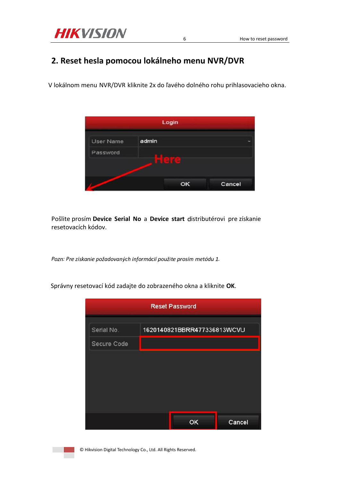

## 2. Reset hesla pomocou lokálneho menu NVR/DVR

V lokálnom menu NVR/DVR kliknite 2x do ľavého dolného rohu prihlasovacieho okna.

 $\sqrt{6}$ 



Pošlite prosím Device Serial No a Device start distributérovi pre získanie resetovacích kódov.

Pozn: Pre získanie požadovaných informácií použite prosím metódu 1.

Správny resetovací kód zadajte do zobrazeného okna a kliknite OK.

| <b>Reset Password</b> |                             |        |  |  |  |  |  |
|-----------------------|-----------------------------|--------|--|--|--|--|--|
| Serial No.            | 1620140821BBRR477336813WCVU |        |  |  |  |  |  |
| Secure Code           |                             |        |  |  |  |  |  |
|                       |                             |        |  |  |  |  |  |
|                       |                             |        |  |  |  |  |  |
|                       |                             |        |  |  |  |  |  |
|                       |                             |        |  |  |  |  |  |
|                       | ок                          | Cancel |  |  |  |  |  |

© Hikvision Digital Technology Co., Ltd. All Rights Reserved.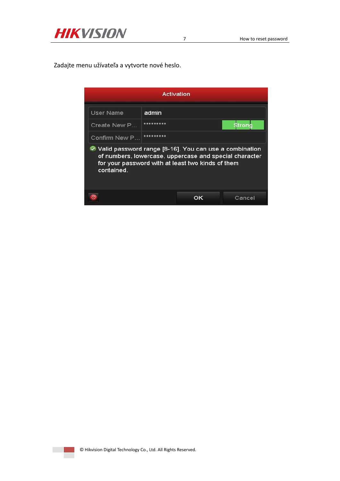

Zadajte menu užívateľa a vytvorte nové heslo.

| Activation                                                                                                                                                                            |           |  |  |  |  |  |
|---------------------------------------------------------------------------------------------------------------------------------------------------------------------------------------|-----------|--|--|--|--|--|
| User Name<br>admin                                                                                                                                                                    |           |  |  |  |  |  |
| *********<br>Create New P<br>Strong                                                                                                                                                   |           |  |  |  |  |  |
| Confirm New P                                                                                                                                                                         | ********* |  |  |  |  |  |
| ○ Valid password range [8-16]. You can use a combination<br>of numbers, lowercase, uppercase and special character<br>for your password with at least two kinds of them<br>contained. |           |  |  |  |  |  |
| Cancel<br>oк                                                                                                                                                                          |           |  |  |  |  |  |